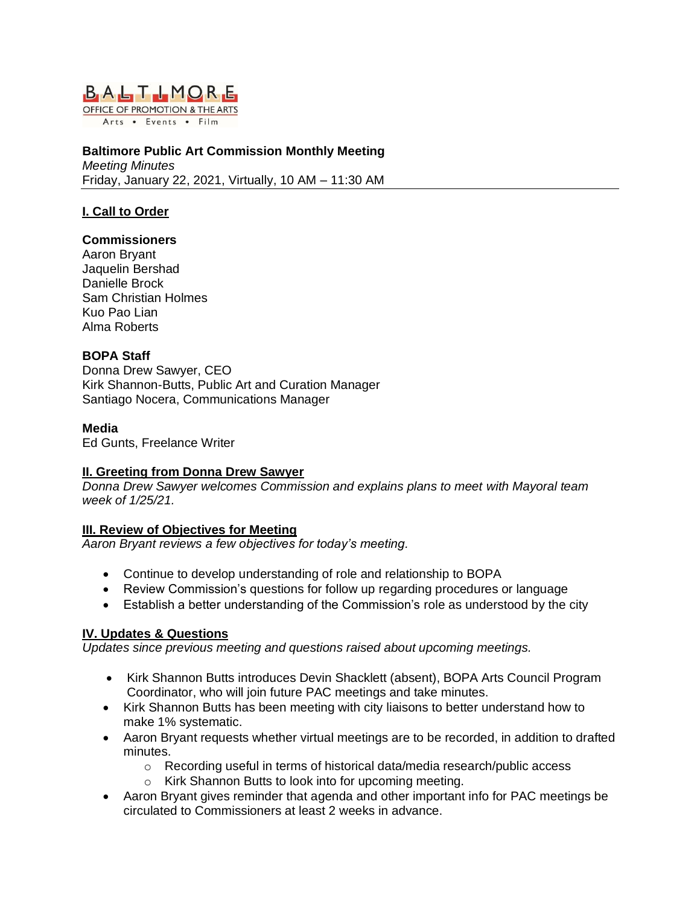

Arts . Events . Film

#### **Baltimore Public Art Commission Monthly Meeting** *Meeting Minutes* Friday, January 22, 2021, Virtually, 10 AM – 11:30 AM

### **I. Call to Order**

#### **Commissioners**

Aaron Bryant Jaquelin Bershad Danielle Brock Sam Christian Holmes Kuo Pao Lian Alma Roberts

### **BOPA Staff**

Donna Drew Sawyer, CEO Kirk Shannon-Butts, Public Art and Curation Manager Santiago Nocera, Communications Manager

#### **Media**

Ed Gunts, Freelance Writer

### **II. Greeting from Donna Drew Sawyer**

*Donna Drew Sawyer welcomes Commission and explains plans to meet with Mayoral team week of 1/25/21.*

### **III. Review of Objectives for Meeting**

*Aaron Bryant reviews a few objectives for today's meeting.*

- Continue to develop understanding of role and relationship to BOPA
- Review Commission's questions for follow up regarding procedures or language
- Establish a better understanding of the Commission's role as understood by the city

### **IV. Updates & Questions**

*Updates since previous meeting and questions raised about upcoming meetings.*

- Kirk Shannon Butts introduces Devin Shacklett (absent), BOPA Arts Council Program Coordinator, who will join future PAC meetings and take minutes.
- Kirk Shannon Butts has been meeting with city liaisons to better understand how to make 1% systematic.
- Aaron Bryant requests whether virtual meetings are to be recorded, in addition to drafted minutes.
	- $\circ$  Recording useful in terms of historical data/media research/public access
	- o Kirk Shannon Butts to look into for upcoming meeting.
- Aaron Bryant gives reminder that agenda and other important info for PAC meetings be circulated to Commissioners at least 2 weeks in advance.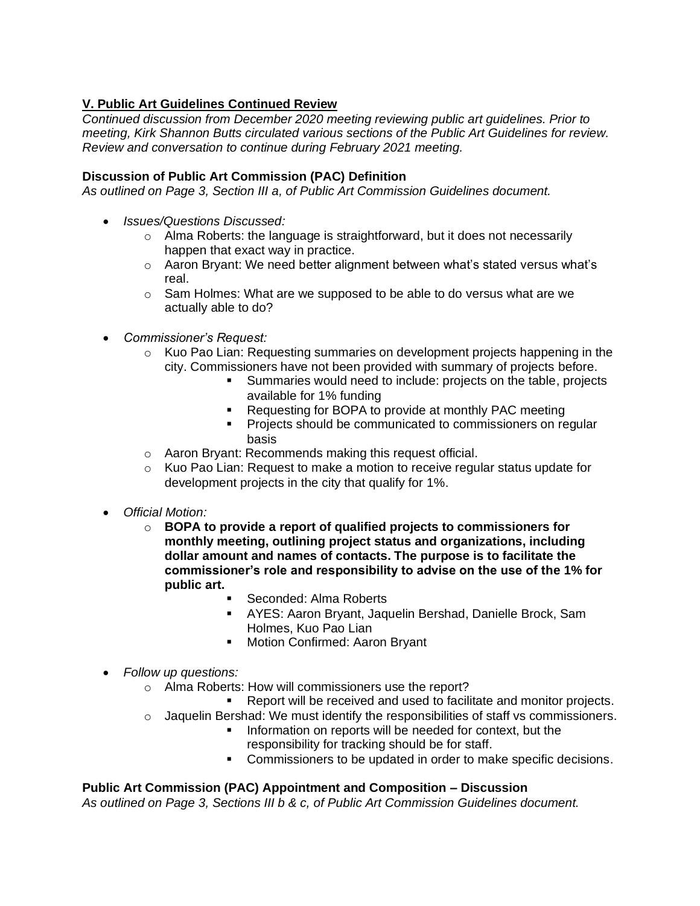# **V. Public Art Guidelines Continued Review**

*Continued discussion from December 2020 meeting reviewing public art guidelines. Prior to meeting, Kirk Shannon Butts circulated various sections of the Public Art Guidelines for review. Review and conversation to continue during February 2021 meeting.* 

### **Discussion of Public Art Commission (PAC) Definition**

*As outlined on Page 3, Section III a, of Public Art Commission Guidelines document.*

- *Issues/Questions Discussed:*
	- o Alma Roberts: the language is straightforward, but it does not necessarily happen that exact way in practice.
	- o Aaron Bryant: We need better alignment between what's stated versus what's real.
	- $\circ$  Sam Holmes: What are we supposed to be able to do versus what are we actually able to do?
- *Commissioner's Request:*
	- o Kuo Pao Lian: Requesting summaries on development projects happening in the city. Commissioners have not been provided with summary of projects before.
		- Summaries would need to include: projects on the table, projects available for 1% funding
		- Requesting for BOPA to provide at monthly PAC meeting
		- Projects should be communicated to commissioners on regular basis
	- o Aaron Bryant: Recommends making this request official.
	- $\circ$  Kuo Pao Lian: Request to make a motion to receive regular status update for development projects in the city that qualify for 1%.
- *Official Motion:*
	- o **BOPA to provide a report of qualified projects to commissioners for monthly meeting, outlining project status and organizations, including dollar amount and names of contacts. The purpose is to facilitate the commissioner's role and responsibility to advise on the use of the 1% for public art.**
		- Seconded: Alma Roberts
			- AYES: Aaron Bryant, Jaquelin Bershad, Danielle Brock, Sam Holmes, Kuo Pao Lian
			- Motion Confirmed: Aaron Bryant
- *Follow up questions:*
	- o Alma Roberts: How will commissioners use the report?
		- Report will be received and used to facilitate and monitor projects.
	- $\circ$  Jaquelin Bershad: We must identify the responsibilities of staff vs commissioners.
		- **EXECT** Information on reports will be needed for context, but the responsibility for tracking should be for staff.
		- Commissioners to be updated in order to make specific decisions.

# **Public Art Commission (PAC) Appointment and Composition – Discussion**

*As outlined on Page 3, Sections III b & c, of Public Art Commission Guidelines document.*